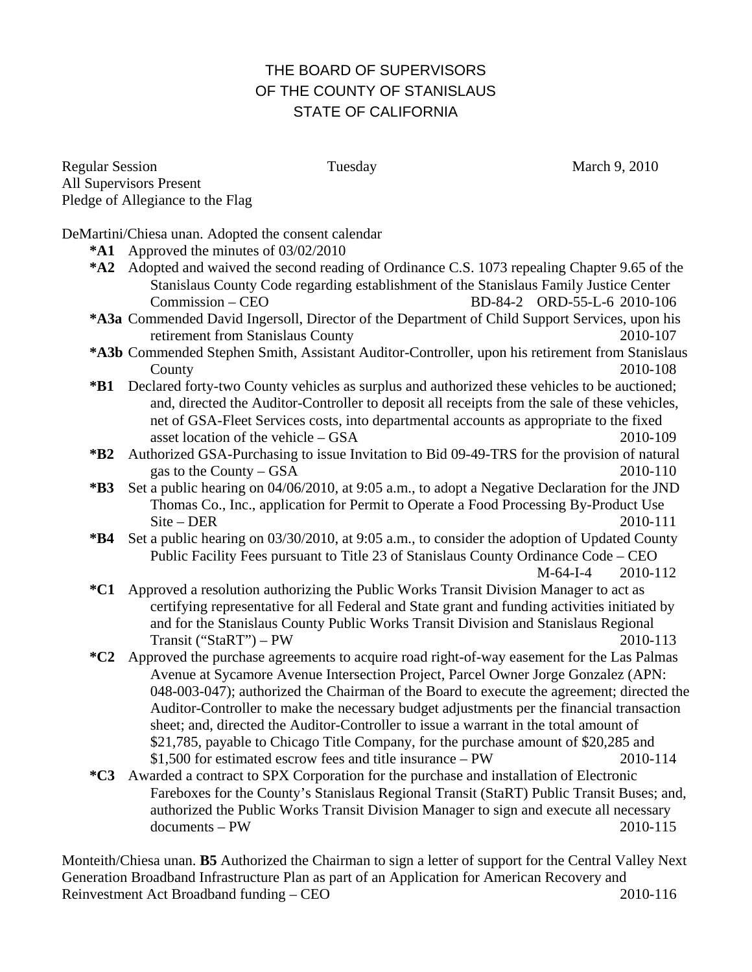## THE BOARD OF SUPERVISORS OF THE COUNTY OF STANISLAUS STATE OF CALIFORNIA

Regular Session Tuesday Tuesday March 9, 2010 All Supervisors Present Pledge of Allegiance to the Flag

DeMartini/Chiesa unan. Adopted the consent calendar

- **\*A1** Approved the minutes of 03/02/2010
- **\*A2** Adopted and waived the second reading of Ordinance C.S. 1073 repealing Chapter 9.65 of the Stanislaus County Code regarding establishment of the Stanislaus Family Justice Center Commission – CEO BD-84-2 ORD-55-L-6 2010-106
- **\*A3a** Commended David Ingersoll, Director of the Department of Child Support Services, upon his retirement from Stanislaus County 2010-107
- **\*A3b** Commended Stephen Smith, Assistant Auditor-Controller, upon his retirement from Stanislaus County 2010-108
- **\*B1** Declared forty-two County vehicles as surplus and authorized these vehicles to be auctioned; and, directed the Auditor-Controller to deposit all receipts from the sale of these vehicles, net of GSA-Fleet Services costs, into departmental accounts as appropriate to the fixed asset location of the vehicle – GSA 2010-109
- **\*B2** Authorized GSA-Purchasing to issue Invitation to Bid 09-49-TRS for the provision of natural gas to the County – GSA  $2010-110$
- **\*B3** Set a public hearing on 04/06/2010, at 9:05 a.m., to adopt a Negative Declaration for the JND Thomas Co., Inc., application for Permit to Operate a Food Processing By-Product Use Site – DER 2010-111
- **\*B4** Set a public hearing on 03/30/2010, at 9:05 a.m., to consider the adoption of Updated County Public Facility Fees pursuant to Title 23 of Stanislaus County Ordinance Code – CEO M-64-I-4 2010-112
- **\*C1** Approved a resolution authorizing the Public Works Transit Division Manager to act as certifying representative for all Federal and State grant and funding activities initiated by and for the Stanislaus County Public Works Transit Division and Stanislaus Regional Transit ("StaRT") – PW 2010-113
- **\*C2** Approved the purchase agreements to acquire road right-of-way easement for the Las Palmas Avenue at Sycamore Avenue Intersection Project, Parcel Owner Jorge Gonzalez (APN: 048-003-047); authorized the Chairman of the Board to execute the agreement; directed the Auditor-Controller to make the necessary budget adjustments per the financial transaction sheet; and, directed the Auditor-Controller to issue a warrant in the total amount of \$21,785, payable to Chicago Title Company, for the purchase amount of \$20,285 and \$1,500 for estimated escrow fees and title insurance – PW 2010-114
- **\*C3** Awarded a contract to SPX Corporation for the purchase and installation of Electronic Fareboxes for the County's Stanislaus Regional Transit (StaRT) Public Transit Buses; and, authorized the Public Works Transit Division Manager to sign and execute all necessary documents – PW 2010-115

Monteith/Chiesa unan. **B5** Authorized the Chairman to sign a letter of support for the Central Valley Next Generation Broadband Infrastructure Plan as part of an Application for American Recovery and Reinvestment Act Broadband funding – CEO 2010-116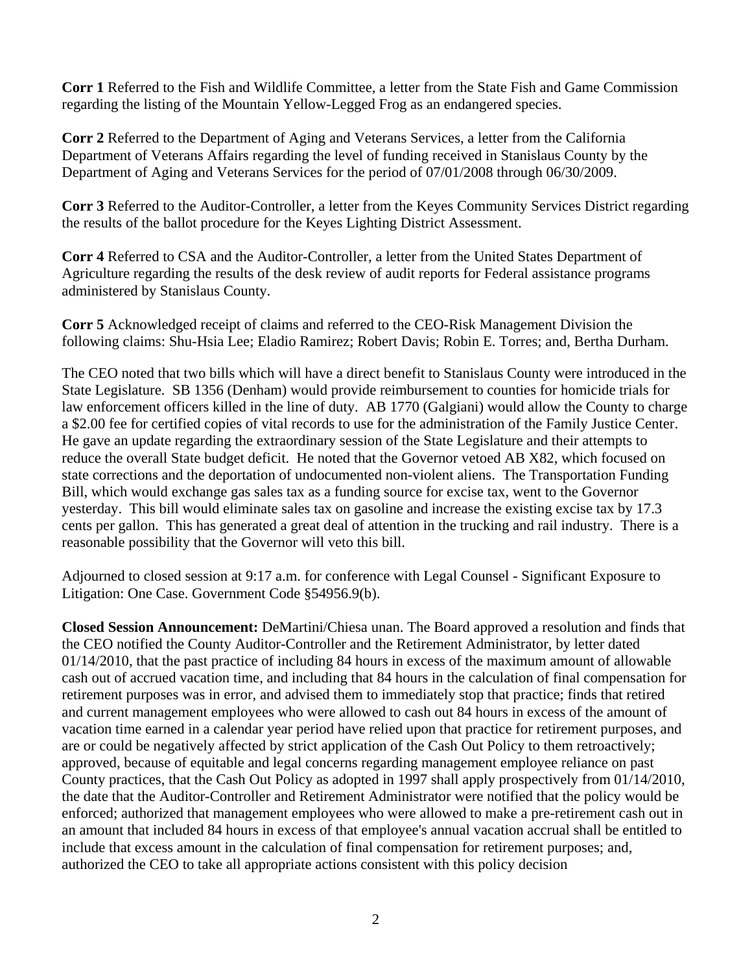**Corr 1** Referred to the Fish and Wildlife Committee, a letter from the State Fish and Game Commission regarding the listing of the Mountain Yellow-Legged Frog as an endangered species.

**Corr 2** Referred to the Department of Aging and Veterans Services, a letter from the California Department of Veterans Affairs regarding the level of funding received in Stanislaus County by the Department of Aging and Veterans Services for the period of 07/01/2008 through 06/30/2009.

**Corr 3** Referred to the Auditor-Controller, a letter from the Keyes Community Services District regarding the results of the ballot procedure for the Keyes Lighting District Assessment.

**Corr 4** Referred to CSA and the Auditor-Controller, a letter from the United States Department of Agriculture regarding the results of the desk review of audit reports for Federal assistance programs administered by Stanislaus County.

**Corr 5** Acknowledged receipt of claims and referred to the CEO-Risk Management Division the following claims: Shu-Hsia Lee; Eladio Ramirez; Robert Davis; Robin E. Torres; and, Bertha Durham.

The CEO noted that two bills which will have a direct benefit to Stanislaus County were introduced in the State Legislature. SB 1356 (Denham) would provide reimbursement to counties for homicide trials for law enforcement officers killed in the line of duty. AB 1770 (Galgiani) would allow the County to charge a \$2.00 fee for certified copies of vital records to use for the administration of the Family Justice Center. He gave an update regarding the extraordinary session of the State Legislature and their attempts to reduce the overall State budget deficit. He noted that the Governor vetoed AB X82, which focused on state corrections and the deportation of undocumented non-violent aliens. The Transportation Funding Bill, which would exchange gas sales tax as a funding source for excise tax, went to the Governor yesterday. This bill would eliminate sales tax on gasoline and increase the existing excise tax by 17.3 cents per gallon. This has generated a great deal of attention in the trucking and rail industry. There is a reasonable possibility that the Governor will veto this bill.

Adjourned to closed session at 9:17 a.m. for conference with Legal Counsel - Significant Exposure to Litigation: One Case. Government Code §54956.9(b).

**Closed Session Announcement:** DeMartini/Chiesa unan. The Board approved a resolution and finds that the CEO notified the County Auditor-Controller and the Retirement Administrator, by letter dated 01/14/2010, that the past practice of including 84 hours in excess of the maximum amount of allowable cash out of accrued vacation time, and including that 84 hours in the calculation of final compensation for retirement purposes was in error, and advised them to immediately stop that practice; finds that retired and current management employees who were allowed to cash out 84 hours in excess of the amount of vacation time earned in a calendar year period have relied upon that practice for retirement purposes, and are or could be negatively affected by strict application of the Cash Out Policy to them retroactively; approved, because of equitable and legal concerns regarding management employee reliance on past County practices, that the Cash Out Policy as adopted in 1997 shall apply prospectively from 01/14/2010, the date that the Auditor-Controller and Retirement Administrator were notified that the policy would be enforced; authorized that management employees who were allowed to make a pre-retirement cash out in an amount that included 84 hours in excess of that employee's annual vacation accrual shall be entitled to include that excess amount in the calculation of final compensation for retirement purposes; and, authorized the CEO to take all appropriate actions consistent with this policy decision